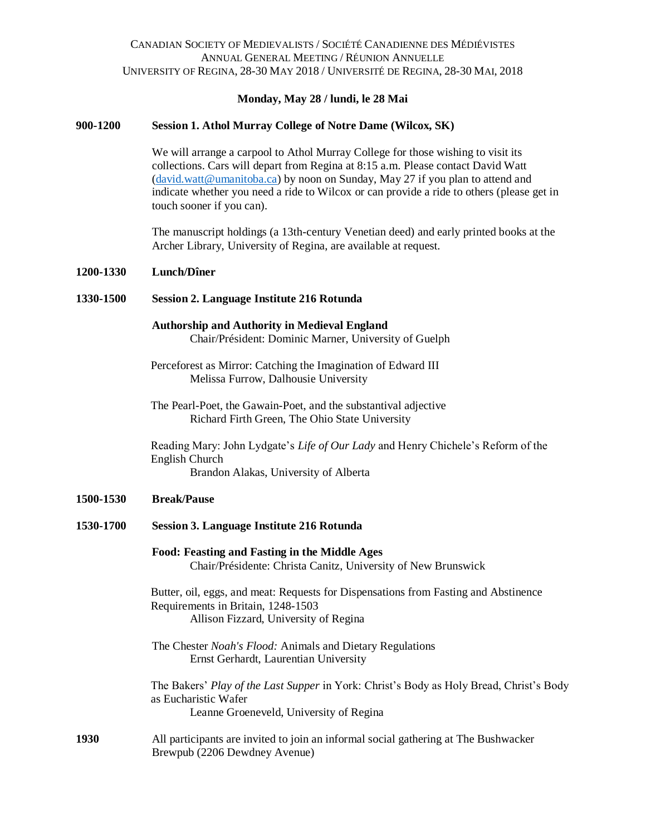# **Monday, May 28 / lundi, le 28 Mai**

## **900-1200 Session 1. Athol Murray College of Notre Dame (Wilcox, SK)**

We will arrange a carpool to Athol Murray College for those wishing to visit its collections. Cars will depart from Regina at 8:15 a.m. Please contact David Watt [\(david.watt@umanitoba.ca\)](mailto:david.watt@umanitoba.ca) by noon on Sunday, May 27 if you plan to attend and indicate whether you need a ride to Wilcox or can provide a ride to others (please get in touch sooner if you can).

The manuscript holdings (a 13th-century Venetian deed) and early printed books at the Archer Library, University of Regina, are available at request.

### **1200-1330 Lunch/Dîner**

#### **1330-1500 Session 2. Language Institute 216 Rotunda**

#### **Authorship and Authority in Medieval England**  Chair/Président: Dominic Marner, University of Guelph

Perceforest as Mirror: Catching the Imagination of Edward III Melissa Furrow, Dalhousie University

The Pearl-Poet, the Gawain-Poet, and the substantival adjective Richard Firth Green, The Ohio State University

Reading Mary: John Lydgate's *Life of Our Lady* and Henry Chichele's Reform of the English Church Brandon Alakas, University of Alberta

## **1500-1530 Break/Pause**

- **1530-1700 Session 3. Language Institute 216 Rotunda**
	- **Food: Feasting and Fasting in the Middle Ages** Chair/Présidente: Christa Canitz, University of New Brunswick

Butter, oil, eggs, and meat: Requests for Dispensations from Fasting and Abstinence Requirements in Britain, 1248-1503 Allison Fizzard, University of Regina

The Chester *Noah's Flood:* Animals and Dietary Regulations Ernst Gerhardt, Laurentian University

The Bakers' *Play of the Last Supper* in York: Christ's Body as Holy Bread, Christ's Body as Eucharistic Wafer Leanne Groeneveld, University of Regina

**1930** All participants are invited to join an informal social gathering at The Bushwacker Brewpub (2206 Dewdney Avenue)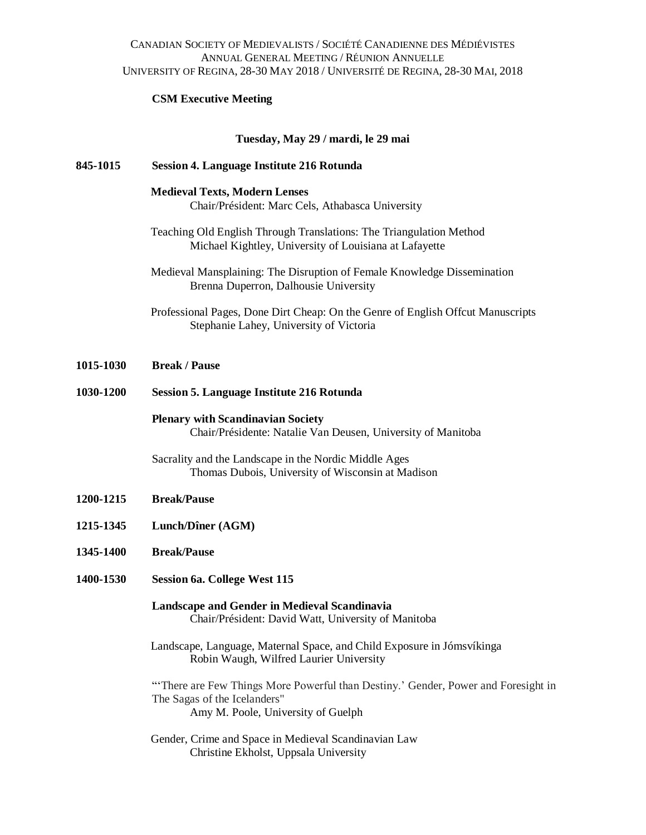# CANADIAN SOCIETY OF MEDIEVALISTS / SOCIÉTÉ CANADIENNE DES MÉDIÉVISTES ANNUAL GENERAL MEETING / RÉUNION ANNUELLE UNIVERSITY OF REGINA, 28-30 MAY 2018 / UNIVERSITÉ DE REGINA, 28-30 MAI, 2018

# **CSM Executive Meeting**

# **Tuesday, May 29 / mardi, le 29 mai**

| 845-1015  | <b>Session 4. Language Institute 216 Rotunda</b>                                                                                                        |
|-----------|---------------------------------------------------------------------------------------------------------------------------------------------------------|
|           | <b>Medieval Texts, Modern Lenses</b><br>Chair/Président: Marc Cels, Athabasca University                                                                |
|           | Teaching Old English Through Translations: The Triangulation Method<br>Michael Kightley, University of Louisiana at Lafayette                           |
|           | Medieval Mansplaining: The Disruption of Female Knowledge Dissemination<br>Brenna Duperron, Dalhousie University                                        |
|           | Professional Pages, Done Dirt Cheap: On the Genre of English Offcut Manuscripts<br>Stephanie Lahey, University of Victoria                              |
| 1015-1030 | <b>Break / Pause</b>                                                                                                                                    |
| 1030-1200 | <b>Session 5. Language Institute 216 Rotunda</b>                                                                                                        |
|           | <b>Plenary with Scandinavian Society</b><br>Chair/Présidente: Natalie Van Deusen, University of Manitoba                                                |
|           | Sacrality and the Landscape in the Nordic Middle Ages<br>Thomas Dubois, University of Wisconsin at Madison                                              |
| 1200-1215 | <b>Break/Pause</b>                                                                                                                                      |
| 1215-1345 | Lunch/Dîner (AGM)                                                                                                                                       |
| 1345-1400 | <b>Break/Pause</b>                                                                                                                                      |
| 1400-1530 | <b>Session 6a. College West 115</b>                                                                                                                     |
|           | Landscape and Gender in Medieval Scandinavia<br>Chair/Président: David Watt, University of Manitoba                                                     |
|           | Landscape, Language, Maternal Space, and Child Exposure in Jómsvíkinga<br>Robin Waugh, Wilfred Laurier University                                       |
|           | "There are Few Things More Powerful than Destiny.' Gender, Power and Foresight in<br>The Sagas of the Icelanders"<br>Amy M. Poole, University of Guelph |
|           | Gender, Crime and Space in Medieval Scandinavian Law<br>Christine Ekholst, Uppsala University                                                           |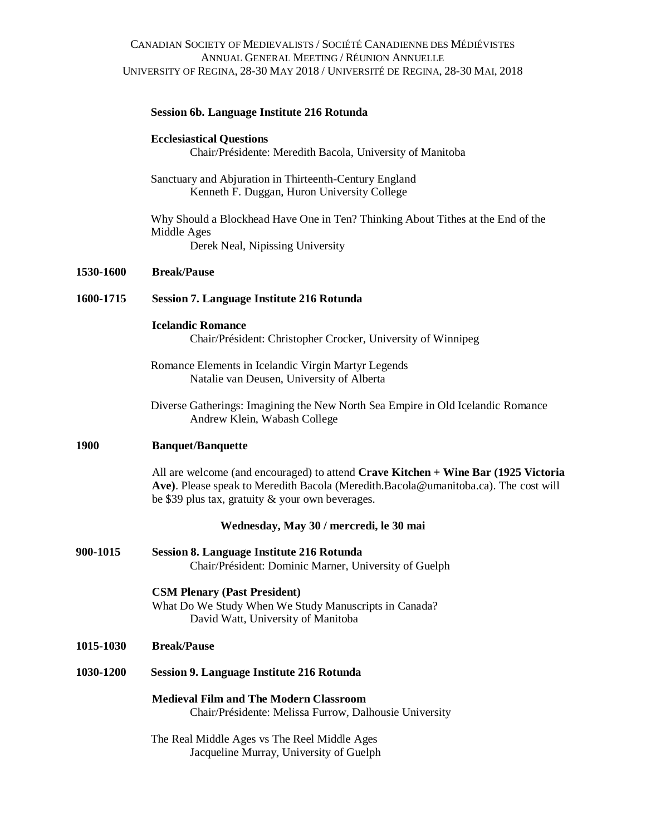# CANADIAN SOCIETY OF MEDIEVALISTS / SOCIÉTÉ CANADIENNE DES MÉDIÉVISTES ANNUAL GENERAL MEETING / RÉUNION ANNUELLE UNIVERSITY OF REGINA, 28-30 MAY 2018 / UNIVERSITÉ DE REGINA, 28-30 MAI, 2018

## **Session 6b. Language Institute 216 Rotunda**

#### **Ecclesiastical Questions**

Chair/Présidente: Meredith Bacola, University of Manitoba

Sanctuary and Abjuration in Thirteenth-Century England Kenneth F. Duggan, Huron University College

Why Should a Blockhead Have One in Ten? Thinking About Tithes at the End of the Middle Ages Derek Neal, Nipissing University

### **1530-1600 Break/Pause**

#### **1600-1715 Session 7. Language Institute 216 Rotunda**

#### **Icelandic Romance**

Chair/Président: Christopher Crocker, University of Winnipeg

Romance Elements in Icelandic Virgin Martyr Legends Natalie van Deusen, University of Alberta

Diverse Gatherings: Imagining the New North Sea Empire in Old Icelandic Romance Andrew Klein, Wabash College

#### **1900 Banquet/Banquette**

All are welcome (and encouraged) to attend **Crave Kitchen + Wine Bar (1925 Victoria Ave)**. Please speak to Meredith Bacola (Meredith.Bacola@umanitoba.ca). The cost will be \$39 plus tax, gratuity & your own beverages.

#### **Wednesday, May 30 / mercredi, le 30 mai**

**900-1015 Session 8. Language Institute 216 Rotunda** Chair/Président: Dominic Marner, University of Guelph

#### **CSM Plenary (Past President)**

What Do We Study When We Study Manuscripts in Canada? David Watt, University of Manitoba

## **1015-1030 Break/Pause**

**1030-1200 Session 9. Language Institute 216 Rotunda**

**Medieval Film and The Modern Classroom** Chair/Présidente: Melissa Furrow, Dalhousie University

The Real Middle Ages vs The Reel Middle Ages Jacqueline Murray, University of Guelph